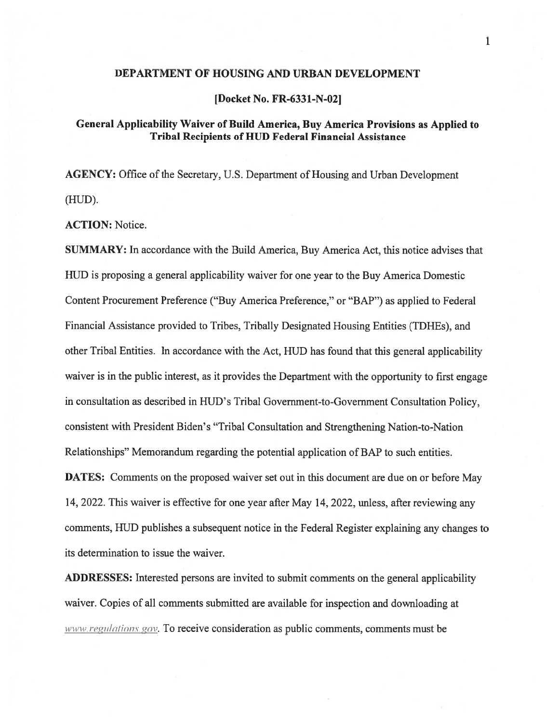#### DEPARTMENT OF HOUSING AND URBAN DEVELOPMENT

[Docket No. FR-6331-N-02]

# General Applicability Waiver of Build America, Buy America Provisions as Applied to Tribal Recipients of HUD Federal Financial Assistance

AGENCY: Office of the Secretary, U.S. Department of Housing and Urban Development  $(HUD)$ .

ACTION: Notice.

SUMMARY: In accordance with the Build America, Buy America Act, this notice advises that HUD is proposing <sup>a</sup> general applicability waiver for one year to the Buy America Domestic Content Procurement Preference ("Buy America Preference," or "BAP") as applied to federal financial Assistance provided to Tribes, Tribally Designated Housing Entities (TDHEs), and other Tribal Entities. In accordance with the Act, HUD has found that this general applicability waiver is in the public interest, as it provides the Department with the opportunity to first engage in consultation as described in HUD's Tribal Government-to-Government Consultation Policy, consistent with President Biden's "Tribal Consultation and Strengthening Nation-to-Nation Relationships" Memorandum regarding the potential application of BAP to such entities.

DATES: Comments on the proposed waiver set out in this document are due on or before May 14, 2022. This waiver is effective for one year after May 14, 2022, unless, after reviewing any comments, HUD publishes <sup>a</sup> subsequent notice in the federal Register explaining any changes to its determination to issue the waiver.

ADDRESSES: Interested persons are invited to submit comments on the general applicability waiver. Copies of all comments submitted are available for inspection and downloading at  $www. regularizations.gov$ . To receive consideration as public comments, comments must be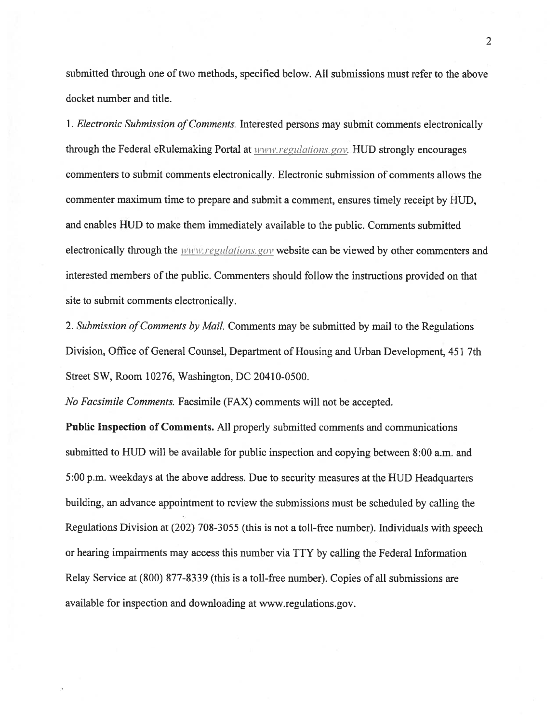submitted through one of two methods, specified below. All submissions must refer to the above docket number and title.

1. *Electronic Submission of Comments*. Interested persons may submit comments electronically through the Federal eRulemaking Portal at  $www.regularions.gov. HUD strongly encounters$ commenters to submit comments electronically. Electronic submission of comments allows the commenter maximum time to prepare and submit <sup>a</sup> comment, ensures timely receipt by HUD, and enables HUD to make them immediately available to the public. Comments submitted electronically through the *www.regulations.gov* website can be viewed by other commenters and interested members of the public. Commenters should follow the instructions provided on that site to submit comments electronically.

2. Submission of Comments by Mail. Comments may be submitted by mail to the Regulations Division, Office of General Counsel, Department of Housing and Urban Development, 451 7th Street SW, Room 10276, Washington, DC 204 10-0500.

No facsimile Comments. Facsimile (FAX) comments will not be accepted.

Public Inspection of Comments. All properly submitted comments and communications submitted to HUD will be available for public inspection and copying between 8:00 a.m. and 5:00 p.m. weekdays at the above address. Due to security measures at the HUD Headquarters building, an advance appointment to review the submissions must be scheduled by calling the Regulations Division at (202) 708-3055 (this is not <sup>a</sup> toll-free number). Individuals with speech or hearing impairments may access this number via TTY by calling the federal Information Relay Service at (\$00) 877-8339 (this is <sup>a</sup> toll-free number). Copies of all submissions are available for inspection and downloading at www.regulations.gov.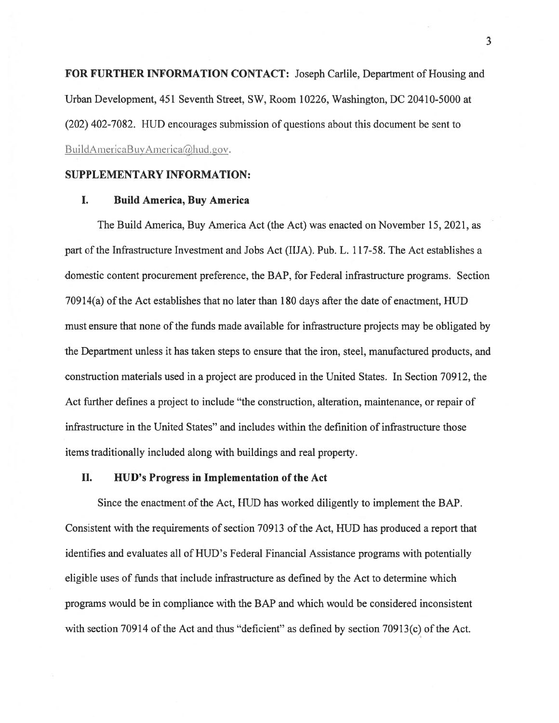FOR FURTHER INFORMATION CONTACT: Joseph Carlile, Department of Housing and Urban Development, 451 Seventh Street, SW, Room 10226, Washington, DC 20410-5000 at (202) 402-7082. HUD encourages submission of questions about this document be sent to BuildAmericaBuyAmerica@hud.gov.

#### SUPPLEMENTARY INFORMATION:

## I. Build America, Buy America

The Build America, Buy America Act (the Act) was enacted on November 15, 2021, as par<sup>t</sup> of the Infrastructure Investment and Jobs Act (lilA). Pub. L. 117-58. The Act establishes <sup>a</sup> domestic content procuremen<sup>t</sup> preference, the BAP, for Federal infrastructure programs. Section  $70914(a)$  of the Act establishes that no later than 180 days after the date of enactment, HUD must ensure that none of the funds made available for infrastructure projects may be obligated by the Department unless it has taken steps to ensure that the iron, steel, manufactured products, and construction materials used in <sup>a</sup> project are produced in the United States. In Section 70912, the Act further defines <sup>a</sup> project to include "the construction, alteration, maintenance, or repair of infrastructure in the United States" and includes within the definition of infrastructure those items traditionally included along with buildings and real property.

## II. HUD's Progress in Implementation of the Act

Since the enactment of the Act, HUD has worked diligently to implement the BAP. Consistent with the requirements of section 70913 of the Act, HUD has produced a report that identifies and evaluates all of HUD's Federal Financial Assistance programs with potentially eligible uses of funds that include infrastructure as defined by the Act to determine which programs would be in compliance with the BAP and which would be considered inconsistent with section 70914 of the Act and thus "deficient" as defined by section 70913(c) of the Act.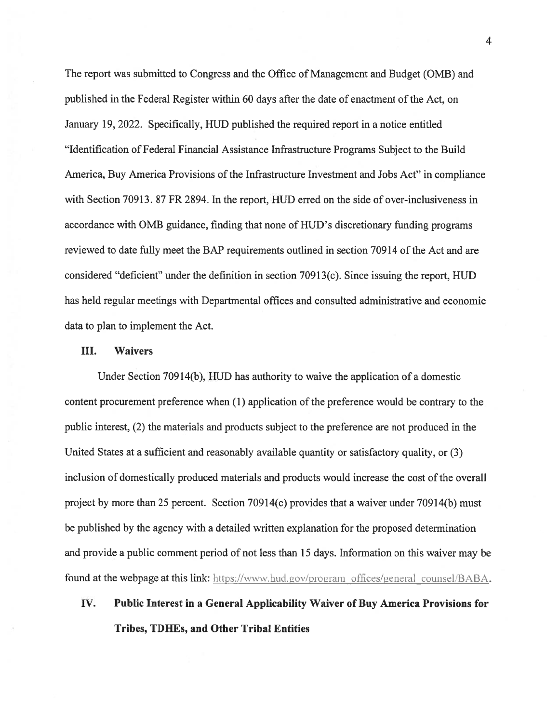The repor<sup>t</sup> was submitted to Congress and the Office of Management and Budget (0MB) and published in the Federal Register within 60 days after the date of enactment of the Act, on January 19, 2022. Specifically, HUD published the required repor<sup>t</sup> in <sup>a</sup> notice entitled "Identification of Federal Financial Assistance Infrastructure Programs Subject to the Build America, Buy America Provisions of the Infrastructure Investment and Jobs Act" in compliance with Section 70913. 87 FR 2894. In the report, HUD erred on the side of over-inclusiveness in accordance with 0MB guidance, finding that none of HUD 's discretionary funding programs reviewed to date fully meet the BAP requirements outlined in section 70914 of the Act and are considered "deficient" under the definition in section 70913(c). Since issuing the report, HUD has held regular meetings with Departmental offices and consulted administrative and economic data to plan to implement the Act.

#### III. Waivers

Under Section 709 14(b), HUD has authority to waive the application of <sup>a</sup> domestic content procuremen<sup>t</sup> preference when (1) application of the preference would be contrary to the public interest, (2) the materials and products subject to the preference are not produced in the United States at <sup>a</sup> sufficient and reasonably available quantity or satisfactory quality, or (3) inclusion of domestically produced materials and products would increase the cost ofthe overall project by more than 25 percent. Section 70914(c) provides that a waiver under 70914(b) must be published by the agency with <sup>a</sup> detailed written explanation for the proposed determination and provide <sup>a</sup> public comment period of not less than 15 days. Information on this waiver may be found at the webpage at this link: https://www.hud.gov/program\_offices/general\_counsel/BABA.

# IV. Public Interest in <sup>a</sup> General Applicability Waiver of Buy America Provisions for Tribes, TDHEs, and Other Tribal Entities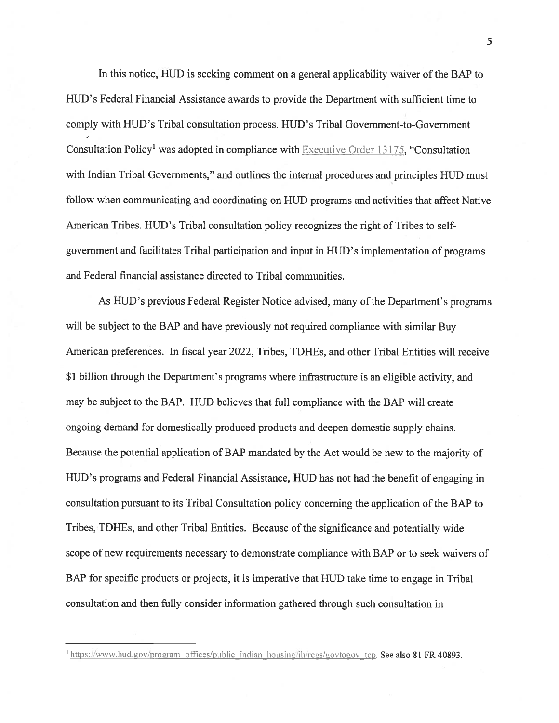In this notice, HUD is seeking comment on <sup>a</sup> general applicability waiver of the BAP to HUD's Federal Financial Assistance awards to provide the Department with sufficient time to comply with HUD's Tribal consultation process. HUD's Tribal Government-to-Government Consultation Policy<sup>1</sup> was adopted in compliance with Executive Order 13175, "Consultation with Indian Tribal Governments," and outlines the internal procedures and principles HUD must follow when communicating and coordinating on HUD programs and activities that affect Native American Tribes. HUD's Tribal consultation policy recognizes the right of Tribes to selfgovernmen<sup>t</sup> and facilitates Tribal participation and input in HUD's implementation of programs and Federal financial assistance directed to Tribal communities.

As HUD's previous Federal Register Notice advised, many of the Department's programs will be subject to the BAP and have previously not required compliance with similar Buy American preferences. In fiscal year 2022, Tribes, TDHEs, and other Tribal Entities will receive \$1 billion through the Department's programs where infrastructure is an eligible activity, and may be subject to the BAP. HUD believes that full compliance with the BAP will create ongoing demand for domestically produced products and deepen domestic supply chains. Because the potential application of BAP mandated by the Act would be new to the majority of HUD's programs and Federal Financial Assistance, HUD has not had the benefit of engaging in consultation pursuan<sup>t</sup> to its Tribal Consultation policy concerning the application ofthe 3AP to Tribes, TDHEs, and other Tribal Entities. Because of the significance and potentially wide scope of new requirements necessary to demonstrate compliance with BAP or to seek waivers of BAP for specific products or projects, it is imperative that HUD take time to engage in Tribal consultation and then fully consider information gathered through such consultation in

<sup>&</sup>lt;sup>1</sup> https://www.hud.gov/program offices/public indian housing/ih/regs/govtogov tcp. See also 81 FR 40893.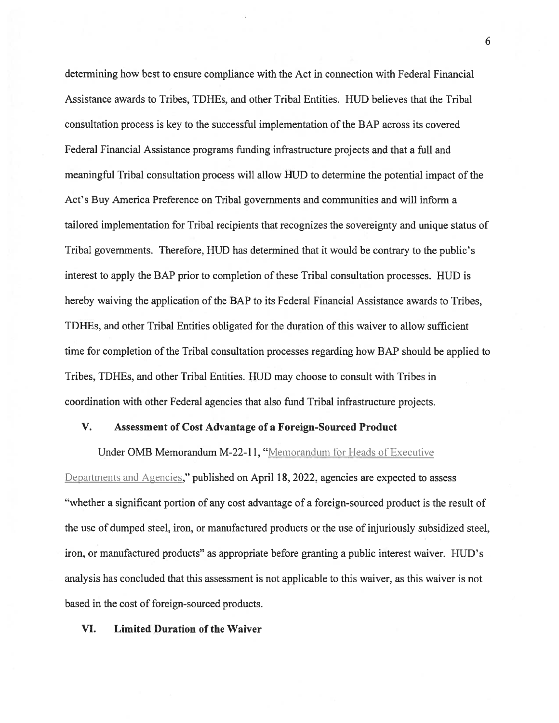determining how best to ensure compliance with the Act in connection with Federal Financial Assistance awards to Tribes, TDHEs, and other Tribal Entities. HUD believes that the Tribal consultation process is key to the successful implementation ofthe BAP across its covered Federal Financial Assistance programs funding infrastructure projects and that <sup>a</sup> full and meaningful Tribal consultation process will allow HUD to determine the potential impact of the Act's Buy America Preference on Tribal governments and communities and will inform <sup>a</sup> tailored implementation for Tribal recipients that recognizes the sovereignty and unique status of Tribal governments. Therefore, HUD has determined that it would be contrary to the public's interest to apply the BAP prior to completion of these Tribal consultation processes. HUD is hereby waiving the application of the BAP to its Federal Financial Assistance awards to Tribes, TDHEs, and other Tribal Entities obligated for the duration of this waiver to allow sufficient time for completion of the Tribal consultation processes regarding how BAP should be applied to Tribes, TDHEs, and other Tribal Entities. HUD may choose to consult with Tribes in coordination with other Federal agencies that also fund Tribal infrastructure projects.

## V. Assessment of Cost Advantage of <sup>a</sup> foreign-Sourced Product

Under OMB Memorandum M-22-11, "Memorandum for Heads of Executive Departments and Agencies," published on April 18, 2022, agencies are expected to assess "whether <sup>a</sup> significant portion of any cost advantage of <sup>a</sup> foreign-sourced product is the result of the use of dumped steel, iron, or manufactured products or the use of injuriously subsidized steel, iron, or manufactured products" as appropriate before granting <sup>a</sup> public interest waiver. HUD's analysis has concluded that this assessment is not applicable to this waiver, as this waiver is not based in the cost of foreign-sourced products.

## VI. Limited Duration of the Waiver

6